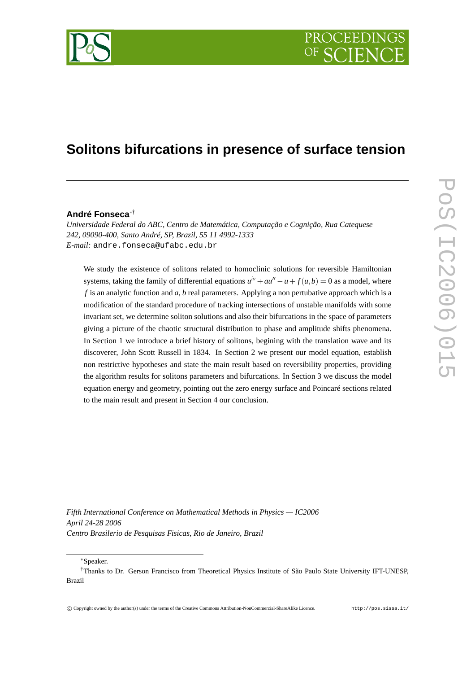

# **Solitons bifurcations in presence of surface tension**

#### **André Fonseca**∗†

*Universidade Federal do ABC, Centro de Matemática, Computação e Cognição, Rua Catequese 242, 09090-400, Santo André, SP, Brazil, 55 11 4992-1333 E-mail:* andre.fonseca@ufabc.edu.br

We study the existence of solitons related to homoclinic solutions for reversible Hamiltonian systems, taking the family of differential equations  $u^{iv} + au'' - u + f(u, b) = 0$  as a model, where *f* is an analytic function and *a*, *b* real parameters. Applying a non pertubative approach which is a modification of the standard procedure of tracking intersections of unstable manifolds with some invariant set, we determine soliton solutions and also their bifurcations in the space of parameters giving a picture of the chaotic structural distribution to phase and amplitude shifts phenomena. In Section 1 we introduce a brief history of solitons, begining with the translation wave and its discoverer, John Scott Russell in 1834. In Section 2 we present our model equation, establish non restrictive hypotheses and state the main result based on reversibility properties, providing the algorithm results for solitons parameters and bifurcations. In Section 3 we discuss the model equation energy and geometry, pointing out the zero energy surface and Poincaré sections related to the main result and present in Section 4 our conclusion.

*Fifth International Conference on Mathematical Methods in Physics — IC2006 April 24-28 2006 Centro Brasilerio de Pesquisas Fisicas, Rio de Janeiro, Brazil*

<sup>∗</sup>Speaker.

<sup>†</sup>Thanks to Dr. Gerson Francisco from Theoretical Physics Institute of São Paulo State University IFT-UNESP, Brazil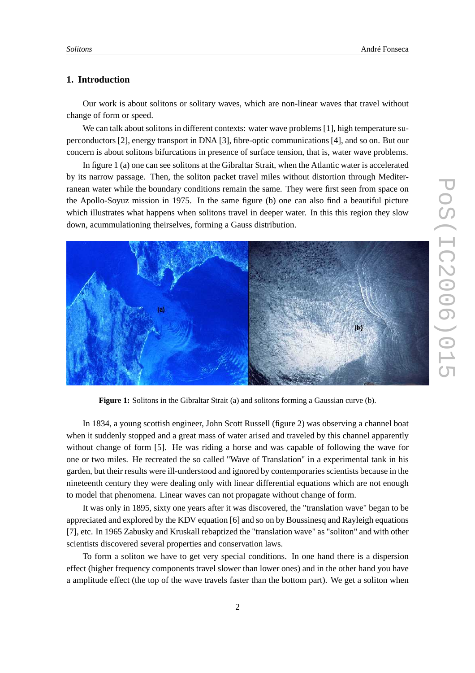## **1. Introduction**

Our work is about solitons or solitary waves, which are non-linear waves that travel without change of form or speed.

We can talk about solitons in different contexts: water wave problems [1], high temperature superconductors [2], energy transport in DNA [3], fibre-optic communications [4], and so on. But our concern is about solitons bifurcations in presence of surface tension, that is, water wave problems.

In figure 1 (a) one can see solitons at the Gibraltar Strait, when the Atlantic water is accelerated by its narrow passage. Then, the soliton packet travel miles without distortion through Mediterranean water while the boundary conditions remain the same. They were first seen from space on the Apollo-Soyuz mission in 1975. In the same figure (b) one can also find a beautiful picture which illustrates what happens when solitons travel in deeper water. In this this region they slow down, acummulationing theirselves, forming a Gauss distribution.



**Figure 1:** Solitons in the Gibraltar Strait (a) and solitons forming a Gaussian curve (b).

In 1834, a young scottish engineer, John Scott Russell (figure 2) was observing a channel boat when it suddenly stopped and a great mass of water arised and traveled by this channel apparently without change of form [5]. He was riding a horse and was capable of following the wave for one or two miles. He recreated the so called "Wave of Translation" in a experimental tank in his garden, but their results were ill-understood and ignored by contemporaries scientists because in the nineteenth century they were dealing only with linear differential equations which are not enough to model that phenomena. Linear waves can not propagate without change of form.

It was only in 1895, sixty one years after it was discovered, the "translation wave" began to be appreciated and explored by the KDV equation [6] and so on by Boussinesq and Rayleigh equations [7], etc. In 1965 Zabusky and Kruskall rebaptized the "translation wave" as "soliton" and with other scientists discovered several properties and conservation laws.

To form a soliton we have to get very special conditions. In one hand there is a dispersion effect (higher frequency components travel slower than lower ones) and in the other hand you have a amplitude effect (the top of the wave travels faster than the bottom part). We get a soliton when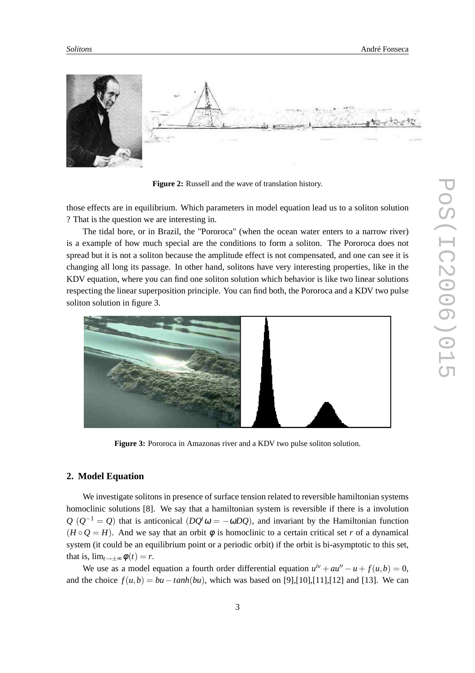

**Figure 2:** Russell and the wave of translation history.

those effects are in equilibrium. Which parameters in model equation lead us to a soliton solution ? That is the question we are interesting in.

The tidal bore, or in Brazil, the "Pororoca" (when the ocean water enters to a narrow river) is a example of how much special are the conditions to form a soliton. The Pororoca does not spread but it is not a soliton because the amplitude effect is not compensated, and one can see it is changing all long its passage. In other hand, solitons have very interesting properties, like in the KDV equation, where you can find one soliton solution which behavior is like two linear solutions respecting the linear superposition principle. You can find both, the Pororoca and a KDV two pulse soliton solution in figure 3.



**Figure 3:** Pororoca in Amazonas river and a KDV two pulse soliton solution.

## **2. Model Equation**

We investigate solitons in presence of surface tension related to reversible hamiltonian systems homoclinic solutions [8]. We say that a hamiltonian system is reversible if there is a involution  $Q(Q^{-1} = Q)$  that is anticonical  $(DQ^t \omega = -\omega DQ)$ , and invariant by the Hamiltonian function  $(H \circ Q = H)$ . And we say that an orbit  $\phi$  is homoclinic to a certain critical set *r* of a dynamical system (it could be an equilibrium point or a periodic orbit) if the orbit is bi-asymptotic to this set, that is,  $\lim_{t\to\pm\infty}\phi(t)=r$ .

We use as a model equation a fourth order differential equation  $u^{iv} + au'' - u + f(u, b) = 0$ , and the choice  $f(u,b) = bu - \tanh(bu)$ , which was based on [9],[10],[11],[12] and [13]. We can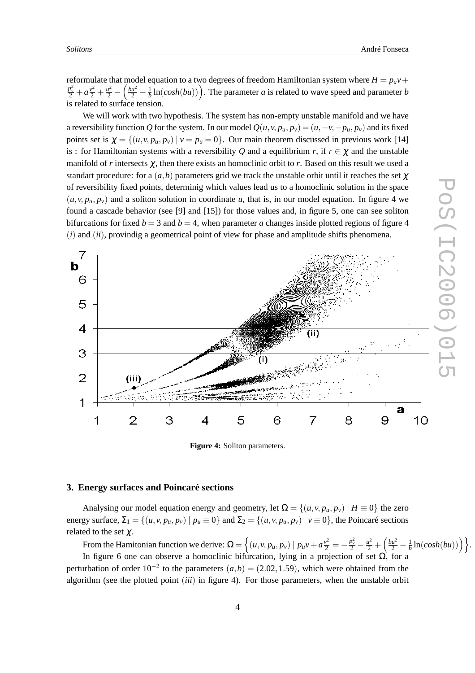reformulate that model equation to a two degrees of freedom Hamiltonian system where  $H = p_{\mu}v +$  $\frac{p_v^2}{2} + a\frac{v^2}{2} + \frac{u^2}{2} - \left(\frac{bu^2}{2} - \frac{1}{b}\right)$  $\frac{1}{b}$  ln(*cosh*(*bu*))). The parameter *a* is related to wave speed and parameter *b* is related to surface tension.

We will work with two hypothesis. The system has non-empty unstable manifold and we have a reversibility function Q for the system. In our model  $Q(u, v, p_u, p_v) = (u, -v, -p_u, p_v)$  and its fixed points set is  $\chi = \{(u, v, p_u, p_v) | v = p_u = 0\}$ . Our main theorem discussed in previous work [14] is : for Hamiltonian systems with a reversibility *Q* and a equilibrium *r*, if  $r \in \chi$  and the unstable manifold of r intersects  $\chi$ , then there exists an homoclinic orbit to r. Based on this result we used a standart procedure: for a  $(a, b)$  parameters grid we track the unstable orbit until it reaches the set  $\gamma$ of reversibility fixed points, determinig which values lead us to a homoclinic solution in the space  $(u, v, p_u, p_v)$  and a soliton solution in coordinate *u*, that is, in our model equation. In figure 4 we found a cascade behavior (see [9] and [15]) for those values and, in figure 5, one can see soliton bifurcations for fixed  $b = 3$  and  $b = 4$ , when parameter *a* changes inside plotted regions of figure 4 (*i*) and (*ii*), provindig a geometrical point of view for phase and amplitude shifts phenomena.



**Figure 4:** Soliton parameters.

### **3. Energy surfaces and Poincaré sections**

Analysing our model equation energy and geometry, let  $\Omega = \{(u, v, p_u, p_v) | H \equiv 0\}$  the zero energy surface,  $\Sigma_1 = \{(u, v, p_u, p_v) \mid p_u \equiv 0\}$  and  $\Sigma_2 = \{(u, v, p_u, p_v) \mid v \equiv 0\}$ , the Poincaré sections related to the set  $\chi$ .

From the Hamitonian function we derive:  $Ω = \left\{ (u, v, p_u, p_v) \mid p_u v + a \frac{v^2}{2} = -\frac{p_v^2}{2} - \frac{u^2}{2} + \left(\frac{bu^2}{2} - \frac{1}{b}\right)\right\}$  $\frac{1}{b}$  ln(*cosh*(*bu*)))  $\Big\}$ .

In figure 6 one can observe a homoclinic bifurcation, lying in a projection of set  $\Omega$ , for a perturbation of order  $10^{-2}$  to the parameters  $(a,b) = (2.02, 1.59)$ , which were obtained from the algorithm (see the plotted point (*iii*) in figure 4). For those parameters, when the unstable orbit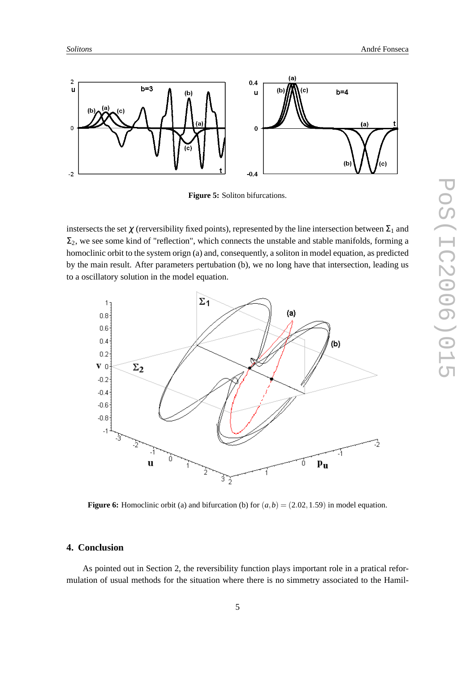

**Figure 5:** Soliton bifurcations.

instersects the set  $\chi$  (rerversibility fixed points), represented by the line intersection between  $\Sigma_1$  and  $\Sigma_2$ , we see some kind of "reflection", which connects the unstable and stable manifolds, forming a homoclinic orbit to the system orign (a) and, consequently, a soliton in model equation, as predicted by the main result. After parameters pertubation (b), we no long have that intersection, leading us to a oscillatory solution in the model equation.



**Figure 6:** Homoclinic orbit (a) and bifurcation (b) for  $(a, b) = (2.02, 1.59)$  in model equation.

## **4. Conclusion**

As pointed out in Section 2, the reversibility function plays important role in a pratical reformulation of usual methods for the situation where there is no simmetry associated to the Hamil